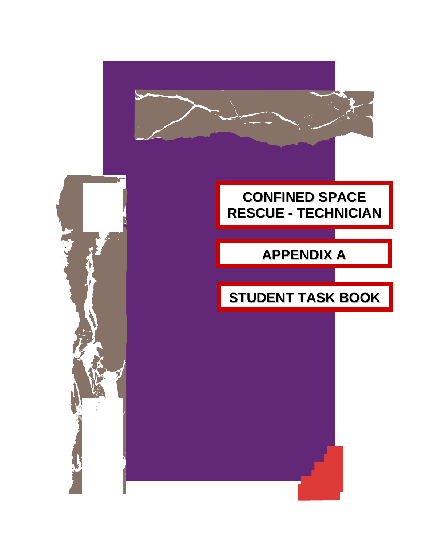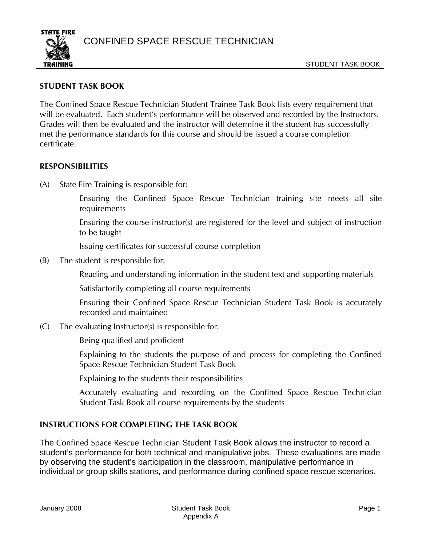CONFINED SPACE RESCUE TECHNICIAN



## **STUDENT TASK BOOK**

The Confined Space Rescue Technician Student Trainee Task Book lists every requirement that will be evaluated. Each student's performance will be observed and recorded by the Instructors. Grades will then be evaluated and the instructor will determine if the student has successfully met the performance standards for this course and should be issued a course completion certificate.

## **RESPONSIBILITIES**

(A) State Fire Training is responsible for:

Ensuring the Confined Space Rescue Technician training site meets all site requirements

Ensuring the course instructor(s) are registered for the level and subject of instruction to be taught

Issuing certificates for successful course completion

(B) The student is responsible for:

Reading and understanding information in the student text and supporting materials

Satisfactorily completing all course requirements

Ensuring their Confined Space Rescue Technician Student Task Book is accurately recorded and maintained

(C) The evaluating Instructor(s) is responsible for:

Being qualified and proficient

Explaining to the students the purpose of and process for completing the Confined Space Rescue Technician Student Task Book

Explaining to the students their responsibilities

Accurately evaluating and recording on the Confined Space Rescue Technician Student Task Book all course requirements by the students

## **INSTRUCTIONS FOR COMPLETING THE TASK BOOK**

The Confined Space Rescue Technician Student Task Book allows the instructor to record a student's performance for both technical and manipulative jobs. These evaluations are made by observing the student's participation in the classroom, manipulative performance in individual or group skills stations, and performance during confined space rescue scenarios.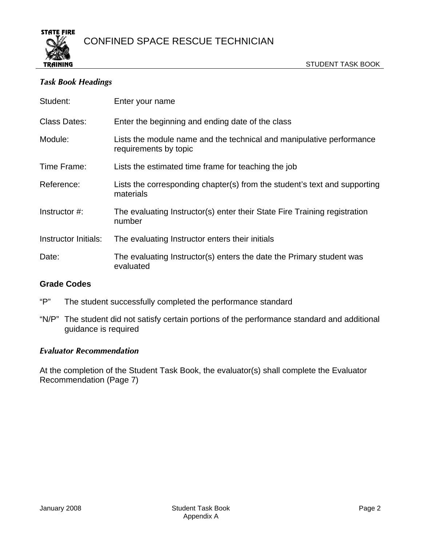

## *Task Book Headings*

| Student:             | Enter your name                                                                               |
|----------------------|-----------------------------------------------------------------------------------------------|
| <b>Class Dates:</b>  | Enter the beginning and ending date of the class                                              |
| Module:              | Lists the module name and the technical and manipulative performance<br>requirements by topic |
| Time Frame:          | Lists the estimated time frame for teaching the job                                           |
| Reference:           | Lists the corresponding chapter(s) from the student's text and supporting<br>materials        |
| Instructor #:        | The evaluating Instructor(s) enter their State Fire Training registration<br>number           |
| Instructor Initials: | The evaluating Instructor enters their initials                                               |
| Date:                | The evaluating Instructor(s) enters the date the Primary student was<br>evaluated             |

## **Grade Codes**

- "P" The student successfully completed the performance standard
- "N/P" The student did not satisfy certain portions of the performance standard and additional guidance is required

### *Evaluator Recommendation*

At the completion of the Student Task Book, the evaluator(s) shall complete the Evaluator Recommendation (Page 7)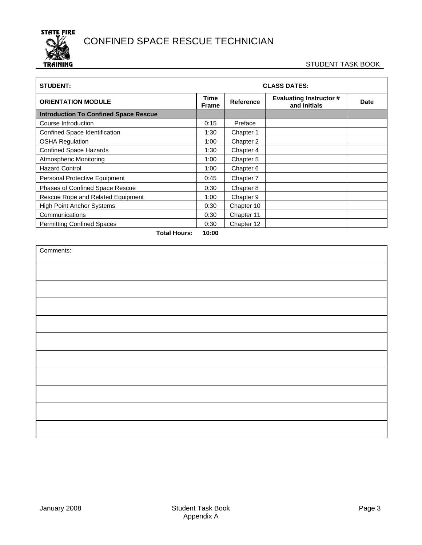

#### STUDENT TASK BOOK

| <b>STUDENT:</b>                              |       | <b>CLASS DATES:</b> |                                                |             |  |
|----------------------------------------------|-------|---------------------|------------------------------------------------|-------------|--|
| <b>ORIENTATION MODULE</b><br><b>Frame</b>    |       | Reference           | <b>Evaluating Instructor #</b><br>and Initials | <b>Date</b> |  |
| <b>Introduction To Confined Space Rescue</b> |       |                     |                                                |             |  |
| Course Introduction                          | 0:15  | Preface             |                                                |             |  |
| Confined Space Identification                | 1:30  | Chapter 1           |                                                |             |  |
| <b>OSHA Regulation</b>                       | 1:00  | Chapter 2           |                                                |             |  |
| <b>Confined Space Hazards</b>                | 1:30  | Chapter 4           |                                                |             |  |
| <b>Atmospheric Monitoring</b>                | 1:00  | Chapter 5           |                                                |             |  |
| <b>Hazard Control</b>                        | 1:00  | Chapter 6           |                                                |             |  |
| Personal Protective Equipment                | 0:45  | Chapter 7           |                                                |             |  |
| Phases of Confined Space Rescue              | 0:30  | Chapter 8           |                                                |             |  |
| Rescue Rope and Related Equipment            | 1:00  | Chapter 9           |                                                |             |  |
| <b>High Point Anchor Systems</b>             | 0:30  | Chapter 10          |                                                |             |  |
| Communications                               | 0:30  | Chapter 11          |                                                |             |  |
| <b>Permitting Confined Spaces</b>            | 0:30  | Chapter 12          |                                                |             |  |
| Total Houre:                                 | 10.00 |                     |                                                |             |  |

**Total Hours: 10:00** 

| Comments: |  |
|-----------|--|
|           |  |
|           |  |
|           |  |
|           |  |
|           |  |
|           |  |
|           |  |
|           |  |
|           |  |
|           |  |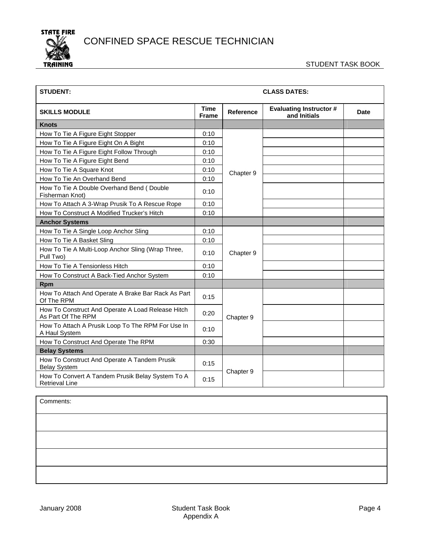

| <b>STUDENT:</b>                                                           |                   |                  | <b>CLASS DATES:</b>                            |      |
|---------------------------------------------------------------------------|-------------------|------------------|------------------------------------------------|------|
| <b>SKILLS MODULE</b>                                                      |                   | <b>Reference</b> | <b>Evaluating Instructor #</b><br>and Initials | Date |
| <b>Knots</b>                                                              |                   |                  |                                                |      |
| How To Tie A Figure Eight Stopper                                         | 0:10              |                  |                                                |      |
| How To Tie A Figure Eight On A Bight                                      | 0:10              |                  |                                                |      |
| How To Tie A Figure Eight Follow Through                                  | 0:10              |                  |                                                |      |
| How To Tie A Figure Eight Bend                                            | 0:10              |                  |                                                |      |
| How To Tie A Square Knot                                                  | 0:10              | Chapter 9        |                                                |      |
| How To Tie An Overhand Bend                                               | 0:10              |                  |                                                |      |
| How To Tie A Double Overhand Bend (Double<br>Fisherman Knot)              | 0:10              |                  |                                                |      |
| How To Attach A 3-Wrap Prusik To A Rescue Rope                            | 0:10              |                  |                                                |      |
| How To Construct A Modified Trucker's Hitch                               | 0:10              |                  |                                                |      |
| <b>Anchor Systems</b>                                                     |                   |                  |                                                |      |
| How To Tie A Single Loop Anchor Sling                                     | 0:10              |                  |                                                |      |
| How To Tie A Basket Sling                                                 | 0:10              |                  |                                                |      |
| How To Tie A Multi-Loop Anchor Sling (Wrap Three,<br>Pull Two)            | 0:10              | Chapter 9        |                                                |      |
| How To Tie A Tensionless Hitch                                            | 0:10              |                  |                                                |      |
| How To Construct A Back-Tied Anchor System                                | 0:10              |                  |                                                |      |
| <b>Rpm</b>                                                                |                   |                  |                                                |      |
| How To Attach And Operate A Brake Bar Rack As Part<br>Of The RPM          | 0:15              |                  |                                                |      |
| How To Construct And Operate A Load Release Hitch<br>As Part Of The RPM   | 0:20              | Chapter 9        |                                                |      |
| How To Attach A Prusik Loop To The RPM For Use In<br>A Haul System        | 0:10              |                  |                                                |      |
| How To Construct And Operate The RPM                                      | 0:30              |                  |                                                |      |
| <b>Belay Systems</b>                                                      |                   |                  |                                                |      |
| How To Construct And Operate A Tandem Prusik<br><b>Belay System</b>       | 0:15              |                  |                                                |      |
| How To Convert A Tandem Prusik Belay System To A<br><b>Retrieval Line</b> | Chapter 9<br>0:15 |                  |                                                |      |

Comments: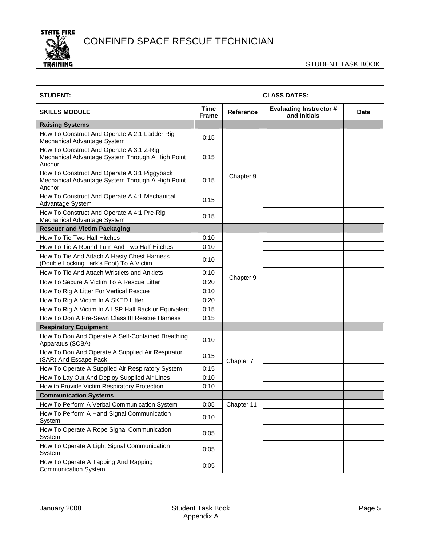

| <b>STUDENT:</b>                                                                                            |                           | <b>CLASS DATES:</b> |                                                |      |  |
|------------------------------------------------------------------------------------------------------------|---------------------------|---------------------|------------------------------------------------|------|--|
| <b>SKILLS MODULE</b>                                                                                       | Time<br><b>Frame</b>      | <b>Reference</b>    | <b>Evaluating Instructor #</b><br>and Initials | Date |  |
| <b>Raising Systems</b>                                                                                     |                           |                     |                                                |      |  |
| How To Construct And Operate A 2:1 Ladder Rig<br>Mechanical Advantage System                               | 0:15                      |                     |                                                |      |  |
| How To Construct And Operate A 3:1 Z-Rig<br>Mechanical Advantage System Through A High Point<br>Anchor     | 0:15                      |                     |                                                |      |  |
| How To Construct And Operate A 3:1 Piggyback<br>Mechanical Advantage System Through A High Point<br>Anchor | 0:15                      | Chapter 9           |                                                |      |  |
| How To Construct And Operate A 4:1 Mechanical<br>Advantage System                                          | 0:15                      |                     |                                                |      |  |
| How To Construct And Operate A 4:1 Pre-Rig<br>Mechanical Advantage System                                  | 0:15                      |                     |                                                |      |  |
| <b>Rescuer and Victim Packaging</b>                                                                        |                           |                     |                                                |      |  |
| How To Tie Two Half Hitches                                                                                | 0:10                      |                     |                                                |      |  |
| How To Tie A Round Turn And Two Half Hitches                                                               | 0:10                      |                     |                                                |      |  |
| How To Tie And Attach A Hasty Chest Harness<br>(Double Locking Lark's Foot) To A Victim                    | 0:10                      |                     |                                                |      |  |
| How To Tie And Attach Wristlets and Anklets                                                                | 0:10<br>Chapter 9<br>0:20 |                     |                                                |      |  |
| How To Secure A Victim To A Rescue Litter                                                                  |                           |                     |                                                |      |  |
| How To Rig A Litter For Vertical Rescue                                                                    | 0:10                      |                     |                                                |      |  |
| How To Rig A Victim In A SKED Litter                                                                       | 0:20                      |                     |                                                |      |  |
| How To Rig A Victim In A LSP Half Back or Equivalent                                                       | 0:15                      |                     |                                                |      |  |
| How To Don A Pre-Sewn Class III Rescue Harness                                                             | 0:15                      |                     |                                                |      |  |
| <b>Respiratory Equipment</b>                                                                               |                           |                     |                                                |      |  |
| How To Don And Operate A Self-Contained Breathing<br>Apparatus (SCBA)                                      | 0:10                      |                     |                                                |      |  |
| How To Don And Operate A Supplied Air Respirator<br>(SAR) And Escape Pack                                  | 0:15                      | Chapter 7           |                                                |      |  |
| How To Operate A Supplied Air Respiratory System                                                           | 0:15                      |                     |                                                |      |  |
| How To Lay Out And Deploy Supplied Air Lines                                                               | 0:10                      |                     |                                                |      |  |
| How to Provide Victim Respiratory Protection                                                               | 0:10                      |                     |                                                |      |  |
| <b>Communication Systems</b>                                                                               |                           |                     |                                                |      |  |
| How To Perform A Verbal Communication System                                                               | 0:05                      | Chapter 11          |                                                |      |  |
| How To Perform A Hand Signal Communication<br>System                                                       | 0:10                      |                     |                                                |      |  |
| How To Operate A Rope Signal Communication<br>System                                                       | 0:05                      |                     |                                                |      |  |
| How To Operate A Light Signal Communication<br>System                                                      | 0:05                      |                     |                                                |      |  |
| How To Operate A Tapping And Rapping<br><b>Communication System</b>                                        | 0:05                      |                     |                                                |      |  |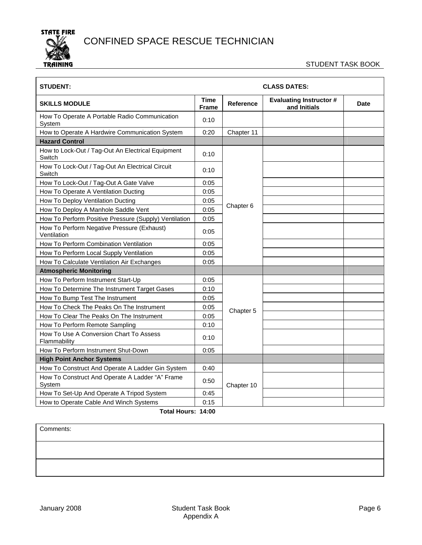

#### STUDENT TASK BOOK

| <b>STUDENT:</b>                                             |                      |                  | <b>CLASS DATES:</b>                            |      |
|-------------------------------------------------------------|----------------------|------------------|------------------------------------------------|------|
| <b>SKILLS MODULE</b>                                        | Time<br><b>Frame</b> | <b>Reference</b> | <b>Evaluating Instructor #</b><br>and Initials | Date |
| How To Operate A Portable Radio Communication<br>System     | 0:10                 |                  |                                                |      |
| How to Operate A Hardwire Communication System              | 0:20                 | Chapter 11       |                                                |      |
| <b>Hazard Control</b>                                       |                      |                  |                                                |      |
| How to Lock-Out / Tag-Out An Electrical Equipment<br>Switch | 0:10                 |                  |                                                |      |
| How To Lock-Out / Tag-Out An Electrical Circuit<br>Switch   | 0:10                 |                  |                                                |      |
| How To Lock-Out / Tag-Out A Gate Valve                      | 0:05                 |                  |                                                |      |
| How To Operate A Ventilation Ducting                        | 0:05                 |                  |                                                |      |
| How To Deploy Ventilation Ducting                           | 0:05                 |                  |                                                |      |
| How To Deploy A Manhole Saddle Vent                         | 0:05                 | Chapter 6        |                                                |      |
| How To Perform Positive Pressure (Supply) Ventilation       | 0:05                 |                  |                                                |      |
| How To Perform Negative Pressure (Exhaust)<br>Ventilation   | 0:05<br>0:05         |                  |                                                |      |
| How To Perform Combination Ventilation                      |                      |                  |                                                |      |
| How To Perform Local Supply Ventilation                     | 0:05                 |                  |                                                |      |
| How To Calculate Ventilation Air Exchanges                  | 0:05                 |                  |                                                |      |
| <b>Atmospheric Monitoring</b>                               |                      |                  |                                                |      |
| How To Perform Instrument Start-Up                          | 0:05                 |                  |                                                |      |
| How To Determine The Instrument Target Gases                | 0:10                 |                  |                                                |      |
| How To Bump Test The Instrument                             | 0:05                 |                  |                                                |      |
| How To Check The Peaks On The Instrument                    | 0:05                 | Chapter 5        |                                                |      |
| How To Clear The Peaks On The Instrument                    | 0:05                 |                  |                                                |      |
| How To Perform Remote Sampling                              | 0:10                 |                  |                                                |      |
| How To Use A Conversion Chart To Assess<br>Flammability     | 0:10                 |                  |                                                |      |
| How To Perform Instrument Shut-Down                         | 0:05                 |                  |                                                |      |
| <b>High Point Anchor Systems</b>                            |                      |                  |                                                |      |
| How To Construct And Operate A Ladder Gin System            | 0:40                 |                  |                                                |      |
| How To Construct And Operate A Ladder "A" Frame<br>System   | 0:50                 | Chapter 10       |                                                |      |
| How To Set-Up And Operate A Tripod System                   | 0:45                 |                  |                                                |      |
| How to Operate Cable And Winch Systems                      | 0:15                 |                  |                                                |      |

#### **Total Hours: 14:00**

| Comments: |  |  |  |
|-----------|--|--|--|
|           |  |  |  |
|           |  |  |  |